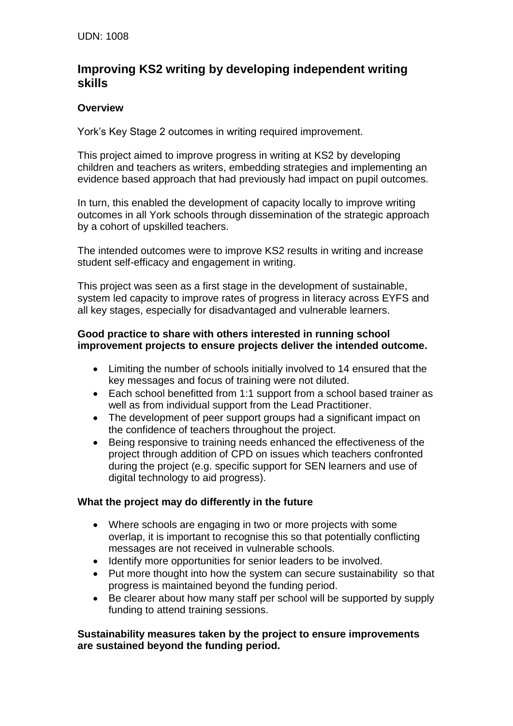# **Improving KS2 writing by developing independent writing skills**

## **Overview**

York's Key Stage 2 outcomes in writing required improvement.

This project aimed to improve progress in writing at KS2 by developing children and teachers as writers, embedding strategies and implementing an evidence based approach that had previously had impact on pupil outcomes.

In turn, this enabled the development of capacity locally to improve writing outcomes in all York schools through dissemination of the strategic approach by a cohort of upskilled teachers.

The intended outcomes were to improve KS2 results in writing and increase student self-efficacy and engagement in writing.

This project was seen as a first stage in the development of sustainable, system led capacity to improve rates of progress in literacy across EYFS and all key stages, especially for disadvantaged and vulnerable learners.

#### **Good practice to share with others interested in running school improvement projects to ensure projects deliver the intended outcome.**

- Limiting the number of schools initially involved to 14 ensured that the key messages and focus of training were not diluted.
- Each school benefitted from 1:1 support from a school based trainer as well as from individual support from the Lead Practitioner.
- The development of peer support groups had a significant impact on the confidence of teachers throughout the project.
- Being responsive to training needs enhanced the effectiveness of the project through addition of CPD on issues which teachers confronted during the project (e.g. specific support for SEN learners and use of digital technology to aid progress).

# **What the project may do differently in the future**

- Where schools are engaging in two or more projects with some overlap, it is important to recognise this so that potentially conflicting messages are not received in vulnerable schools.
- Identify more opportunities for senior leaders to be involved.
- Put more thought into how the system can secure sustainability so that progress is maintained beyond the funding period.
- Be clearer about how many staff per school will be supported by supply funding to attend training sessions.

## **Sustainability measures taken by the project to ensure improvements are sustained beyond the funding period.**